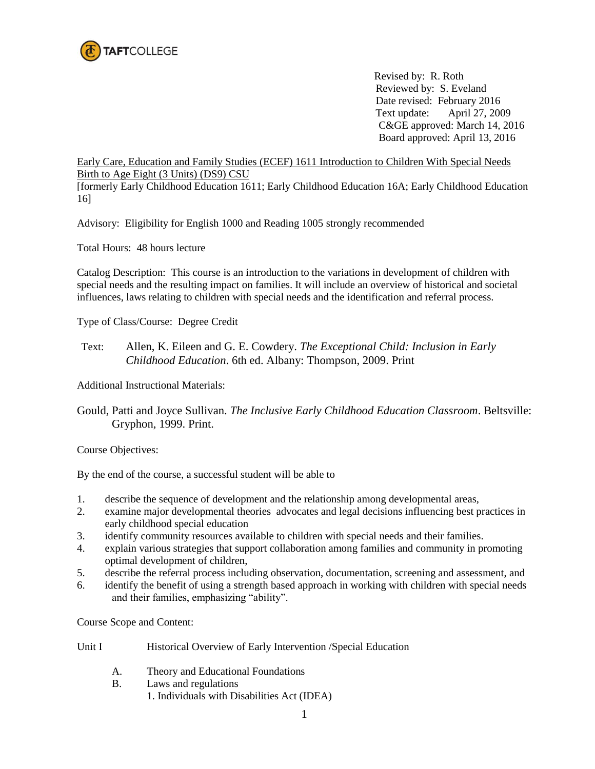

Revised by: R. Roth Reviewed by: S. Eveland Date revised: February 2016 Text update: April 27, 2009 C&GE approved: March 14, 2016 Board approved: April 13, 2016

Early Care, Education and Family Studies (ECEF) 1611 Introduction to Children With Special Needs Birth to Age Eight (3 Units) (DS9) CSU

[formerly Early Childhood Education 1611; Early Childhood Education 16A; Early Childhood Education 16]

Advisory: Eligibility for English 1000 and Reading 1005 strongly recommended

Total Hours: 48 hours lecture

Catalog Description: This course is an introduction to the variations in development of children with special needs and the resulting impact on families. It will include an overview of historical and societal influences, laws relating to children with special needs and the identification and referral process.

Type of Class/Course: Degree Credit

Text: Allen, K. Eileen and G. E. Cowdery. *The Exceptional Child: Inclusion in Early Childhood Education*. 6th ed. Albany: Thompson, 2009. Print

Additional Instructional Materials:

Gould, Patti and Joyce Sullivan. *The Inclusive Early Childhood Education Classroom*. Beltsville: Gryphon, 1999. Print.

Course Objectives:

By the end of the course, a successful student will be able to

- 1. describe the sequence of development and the relationship among developmental areas,
- 2. examine major developmental theories advocates and legal decisions influencing best practices in early childhood special education
- 3. identify community resources available to children with special needs and their families.
- 4. explain various strategies that support collaboration among families and community in promoting optimal development of children,
- 5. describe the referral process including observation, documentation, screening and assessment, and
- 6. identify the benefit of using a strength based approach in working with children with special needs and their families, emphasizing "ability".

Course Scope and Content:

- Unit I Historical Overview of Early Intervention / Special Education
	- A. Theory and Educational Foundations
	- B. Laws and regulations
		- 1. Individuals with Disabilities Act (IDEA)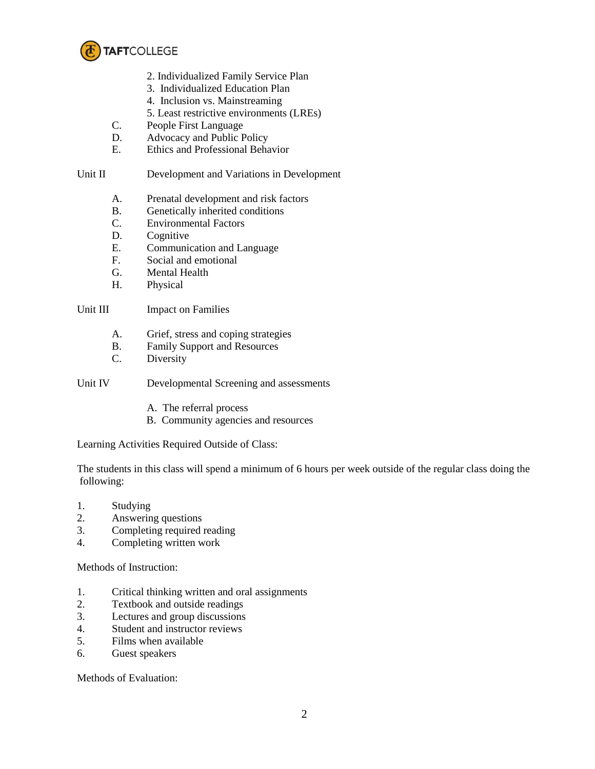

- 2. Individualized Family Service Plan
- 3. Individualized Education Plan
- 4. Inclusion vs. Mainstreaming
- 5. Least restrictive environments (LREs)
- C. People First Language
- D. Advocacy and Public Policy
- E. Ethics and Professional Behavior

## Unit II Development and Variations in Development

- A. Prenatal development and risk factors
- B. Genetically inherited conditions
- C. Environmental Factors
- D. Cognitive
- E. Communication and Language
- F. Social and emotional
- G. Mental Health
- H. Physical

## Unit III Impact on Families

- A. Grief, stress and coping strategies
- B. Family Support and Resources
- C. Diversity

Unit IV Developmental Screening and assessments

- A. The referral process
- B. Community agencies and resources

Learning Activities Required Outside of Class:

The students in this class will spend a minimum of 6 hours per week outside of the regular class doing the following:

- 1. Studying
- 2. Answering questions
- 3. Completing required reading
- 4. Completing written work

Methods of Instruction:

- 1. Critical thinking written and oral assignments
- 2. Textbook and outside readings
- 3. Lectures and group discussions
- 4. Student and instructor reviews
- 5. Films when available
- 6. Guest speakers

Methods of Evaluation: